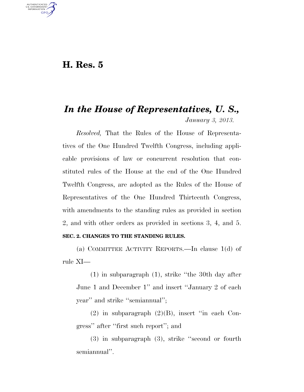# **H. Res. 5**

U.S. GOVERNMENT **GPO** 

# *In the House of Representatives, U. S., January 3, 2013.*

*Resolved,* That the Rules of the House of Representatives of the One Hundred Twelfth Congress, including applicable provisions of law or concurrent resolution that constituted rules of the House at the end of the One Hundred Twelfth Congress, are adopted as the Rules of the House of Representatives of the One Hundred Thirteenth Congress, with amendments to the standing rules as provided in section 2, and with other orders as provided in sections 3, 4, and 5. **SEC. 2. CHANGES TO THE STANDING RULES.** 

(a) COMMITTEE ACTIVITY REPORTS.—In clause 1(d) of rule XI—

(1) in subparagraph (1), strike ''the 30th day after June 1 and December 1'' and insert ''January 2 of each year'' and strike ''semiannual'';

 $(2)$  in subparagraph  $(2)(B)$ , insert "in each Congress'' after ''first such report''; and

(3) in subparagraph (3), strike ''second or fourth semiannual''.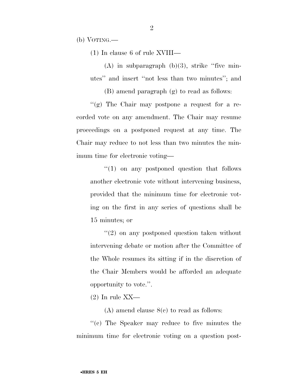(b) VOTING.—

(1) In clause 6 of rule XVIII—

 $(A)$  in subparagraph  $(b)(3)$ , strike "five minutes'' and insert ''not less than two minutes''; and

(B) amend paragraph (g) to read as follows:

''(g) The Chair may postpone a request for a recorded vote on any amendment. The Chair may resume proceedings on a postponed request at any time. The Chair may reduce to not less than two minutes the minimum time for electronic voting—

''(1) on any postponed question that follows another electronic vote without intervening business, provided that the minimum time for electronic voting on the first in any series of questions shall be 15 minutes; or

''(2) on any postponed question taken without intervening debate or motion after the Committee of the Whole resumes its sitting if in the discretion of the Chair Members would be afforded an adequate opportunity to vote.''.

 $(2)$  In rule XX—

(A) amend clause 8(c) to read as follows:

''(c) The Speaker may reduce to five minutes the minimum time for electronic voting on a question post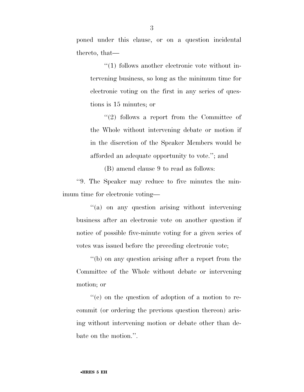poned under this clause, or on a question incidental thereto, that—

''(1) follows another electronic vote without intervening business, so long as the minimum time for electronic voting on the first in any series of questions is 15 minutes; or

''(2) follows a report from the Committee of the Whole without intervening debate or motion if in the discretion of the Speaker Members would be afforded an adequate opportunity to vote.''; and

(B) amend clause 9 to read as follows:

''9. The Speaker may reduce to five minutes the minimum time for electronic voting—

''(a) on any question arising without intervening business after an electronic vote on another question if notice of possible five-minute voting for a given series of votes was issued before the preceding electronic vote;

''(b) on any question arising after a report from the Committee of the Whole without debate or intervening motion; or

 $f'(c)$  on the question of adoption of a motion to recommit (or ordering the previous question thereon) arising without intervening motion or debate other than debate on the motion.''.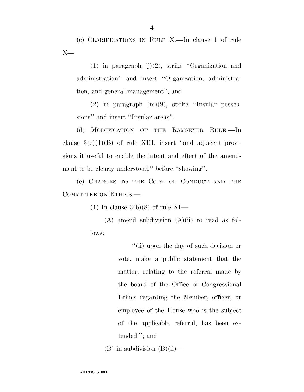(c) CLARIFICATIONS IN RULE X.—In clause 1 of rule  $X-$ 

(1) in paragraph (j)(2), strike ''Organization and administration'' and insert ''Organization, administration, and general management''; and

(2) in paragraph (m)(9), strike ''Insular possessions" and insert "Insular areas".

(d) MODIFICATION OF THE RAMSEYER RULE.—In clause  $3(e)(1)(B)$  of rule XIII, insert "and adjacent provisions if useful to enable the intent and effect of the amendment to be clearly understood,'' before ''showing''.

(e) CHANGES TO THE CODE OF CONDUCT AND THE COMMITTEE ON ETHICS.—

(1) In clause  $3(b)(8)$  of rule XI—

 $(A)$  amend subdivision  $(A)(ii)$  to read as follows:

> ''(ii) upon the day of such decision or vote, make a public statement that the matter, relating to the referral made by the board of the Office of Congressional Ethics regarding the Member, officer, or employee of the House who is the subject of the applicable referral, has been extended.''; and

 $(B)$  in subdivision  $(B)(ii)$ —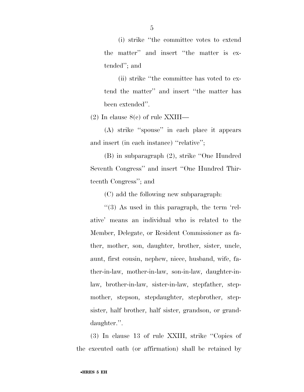(i) strike ''the committee votes to extend the matter'' and insert ''the matter is extended''; and

(ii) strike ''the committee has voted to extend the matter'' and insert ''the matter has been extended''.

(2) In clause 8(c) of rule XXIII—

(A) strike ''spouse'' in each place it appears and insert (in each instance) ''relative'';

(B) in subparagraph (2), strike ''One Hundred Seventh Congress'' and insert ''One Hundred Thirteenth Congress''; and

(C) add the following new subparagraph:

''(3) As used in this paragraph, the term 'relative' means an individual who is related to the Member, Delegate, or Resident Commissioner as father, mother, son, daughter, brother, sister, uncle, aunt, first cousin, nephew, niece, husband, wife, father-in-law, mother-in-law, son-in-law, daughter-inlaw, brother-in-law, sister-in-law, stepfather, stepmother, stepson, stepdaughter, stepbrother, stepsister, half brother, half sister, grandson, or granddaughter.''.

(3) In clause 13 of rule XXIII, strike ''Copies of the executed oath (or affirmation) shall be retained by

5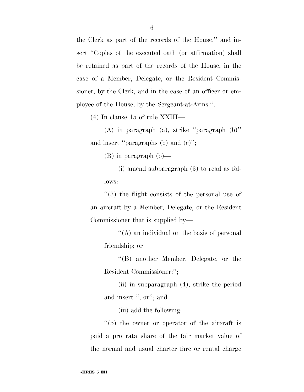the Clerk as part of the records of the House.'' and insert "Copies of the executed oath (or affirmation) shall be retained as part of the records of the House, in the case of a Member, Delegate, or the Resident Commissioner, by the Clerk, and in the case of an officer or employee of the House, by the Sergeant-at-Arms.''.

(4) In clause 15 of rule XXIII—

(A) in paragraph (a), strike ''paragraph (b)'' and insert ''paragraphs (b) and (c)'';

(B) in paragraph (b)—

(i) amend subparagraph (3) to read as follows:

''(3) the flight consists of the personal use of an aircraft by a Member, Delegate, or the Resident Commissioner that is supplied by—

''(A) an individual on the basis of personal friendship; or

''(B) another Member, Delegate, or the Resident Commissioner;'';

(ii) in subparagraph (4), strike the period and insert "; or"; and

(iii) add the following:

 $\cdot$ (5) the owner or operator of the aircraft is paid a pro rata share of the fair market value of the normal and usual charter fare or rental charge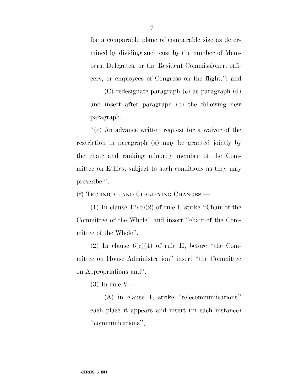for a comparable plane of comparable size as determined by dividing such cost by the number of Members, Delegates, or the Resident Commissioner, officers, or employees of Congress on the flight.''; and

(C) redesignate paragraph (c) as paragraph (d) and insert after paragraph (b) the following new paragraph:

''(c) An advance written request for a waiver of the restriction in paragraph (a) may be granted jointly by the chair and ranking minority member of the Committee on Ethics, subject to such conditions as they may prescribe.''.

(f) TECHNICAL AND CLARIFYING CHANGES.—

(1) In clause  $12(b)(2)$  of rule I, strike "Chair of the Committee of the Whole'' and insert ''chair of the Committee of the Whole''.

(2) In clause  $6(c)(4)$  of rule II, before "the Committee on House Administration'' insert ''the Committee on Appropriations and''.

(3) In rule V—

(A) in clause 1, strike ''telecommunications'' each place it appears and insert (in each instance) ''communications'';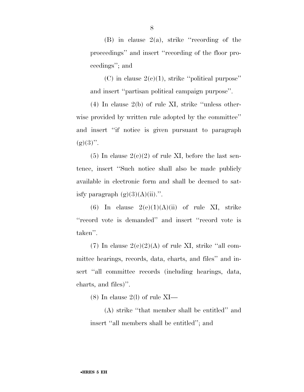(B) in clause  $2(a)$ , strike "recording of the proceedings'' and insert ''recording of the floor proceedings''; and

(C) in clause  $2(e)(1)$ , strike "political purpose" and insert ''partisan political campaign purpose''.

(4) In clause 2(b) of rule XI, strike ''unless otherwise provided by written rule adopted by the committee'' and insert ''if notice is given pursuant to paragraph  $(g)(3)$ ".

(5) In clause  $2(c)(2)$  of rule XI, before the last sentence, insert ''Such notice shall also be made publicly available in electronic form and shall be deemed to satisfy paragraph  $(g)(3)(A)(ii)$ .".

(6) In clause  $2(e)(1)(A)(ii)$  of rule XI, strike ''record vote is demanded'' and insert ''record vote is taken''.

(7) In clause  $2(e)(2)(A)$  of rule XI, strike "all committee hearings, records, data, charts, and files'' and insert ''all committee records (including hearings, data, charts, and files)''.

(8) In clause 2(1) of rule  $XI$ —

(A) strike ''that member shall be entitled'' and insert ''all members shall be entitled''; and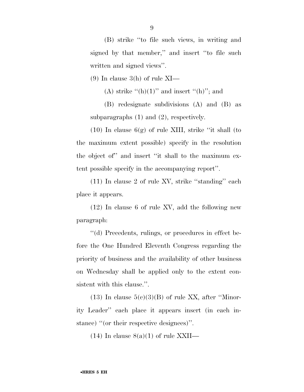(B) strike ''to file such views, in writing and signed by that member,'' and insert ''to file such written and signed views''.

 $(9)$  In clause 3(h) of rule XI—

(A) strike  $\lq\lq(h)(1)$ " and insert  $\lq\lq(h)$ "; and

(B) redesignate subdivisions (A) and (B) as subparagraphs (1) and (2), respectively.

(10) In clause  $6(g)$  of rule XIII, strike "it shall (to the maximum extent possible) specify in the resolution the object of'' and insert ''it shall to the maximum extent possible specify in the accompanying report''.

(11) In clause 2 of rule XV, strike ''standing'' each place it appears.

(12) In clause 6 of rule XV, add the following new paragraph:

''(d) Precedents, rulings, or procedures in effect before the One Hundred Eleventh Congress regarding the priority of business and the availability of other business on Wednesday shall be applied only to the extent consistent with this clause.''.

 $(13)$  In clause  $5(c)(3)(B)$  of rule XX, after "Minority Leader'' each place it appears insert (in each instance) ''(or their respective designees)''.

 $(14)$  In clause  $8(a)(1)$  of rule XXII—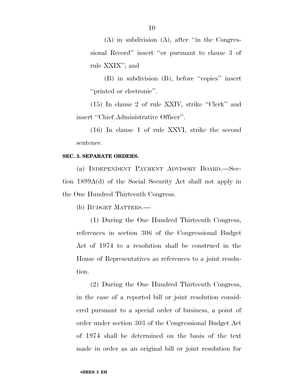(A) in subdivision (A), after ''in the Congressional Record'' insert ''or pursuant to clause 3 of rule XXIX''; and

(B) in subdivision (B), before ''copies'' insert ''printed or electronic''.

(15) In clause 2 of rule XXIV, strike ''Clerk'' and insert ''Chief Administrative Officer''.

(16) In clause 1 of rule XXVI, strike the second sentence.

#### **SEC. 3. SEPARATE ORDERS.**

(a) INDEPENDENT PAYMENT ADVISORY BOARD.—Section 1899A(d) of the Social Security Act shall not apply in the One Hundred Thirteenth Congress.

(b) BUDGET MATTERS.—

(1) During the One Hundred Thirteenth Congress, references in section 306 of the Congressional Budget Act of 1974 to a resolution shall be construed in the House of Representatives as references to a joint resolution.

(2) During the One Hundred Thirteenth Congress, in the case of a reported bill or joint resolution considered pursuant to a special order of business, a point of order under section 303 of the Congressional Budget Act of 1974 shall be determined on the basis of the text made in order as an original bill or joint resolution for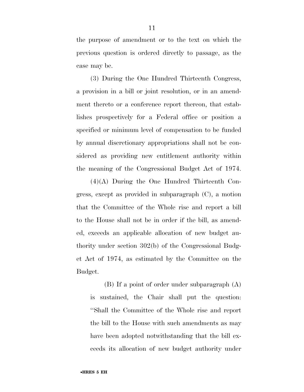the purpose of amendment or to the text on which the previous question is ordered directly to passage, as the case may be.

(3) During the One Hundred Thirteenth Congress, a provision in a bill or joint resolution, or in an amendment thereto or a conference report thereon, that establishes prospectively for a Federal office or position a specified or minimum level of compensation to be funded by annual discretionary appropriations shall not be considered as providing new entitlement authority within the meaning of the Congressional Budget Act of 1974.

(4)(A) During the One Hundred Thirteenth Congress, except as provided in subparagraph (C), a motion that the Committee of the Whole rise and report a bill to the House shall not be in order if the bill, as amended, exceeds an applicable allocation of new budget authority under section 302(b) of the Congressional Budget Act of 1974, as estimated by the Committee on the Budget.

(B) If a point of order under subparagraph (A) is sustained, the Chair shall put the question: ''Shall the Committee of the Whole rise and report the bill to the House with such amendments as may have been adopted notwithstanding that the bill exceeds its allocation of new budget authority under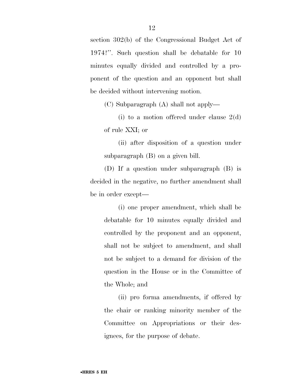section 302(b) of the Congressional Budget Act of 1974?''. Such question shall be debatable for 10 minutes equally divided and controlled by a proponent of the question and an opponent but shall be decided without intervening motion.

(C) Subparagraph (A) shall not apply—

(i) to a motion offered under clause 2(d) of rule XXI; or

(ii) after disposition of a question under subparagraph (B) on a given bill.

(D) If a question under subparagraph (B) is decided in the negative, no further amendment shall be in order except—

(i) one proper amendment, which shall be debatable for 10 minutes equally divided and controlled by the proponent and an opponent, shall not be subject to amendment, and shall not be subject to a demand for division of the question in the House or in the Committee of the Whole; and

(ii) pro forma amendments, if offered by the chair or ranking minority member of the Committee on Appropriations or their designees, for the purpose of debate.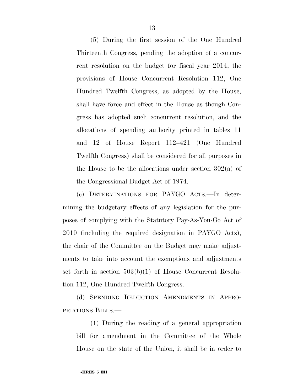(5) During the first session of the One Hundred Thirteenth Congress, pending the adoption of a concurrent resolution on the budget for fiscal year 2014, the provisions of House Concurrent Resolution 112, One Hundred Twelfth Congress, as adopted by the House, shall have force and effect in the House as though Congress has adopted such concurrent resolution, and the allocations of spending authority printed in tables 11 and 12 of House Report 112–421 (One Hundred Twelfth Congress) shall be considered for all purposes in the House to be the allocations under section 302(a) of the Congressional Budget Act of 1974.

(c) DETERMINATIONS FOR PAYGO ACTS.—In determining the budgetary effects of any legislation for the purposes of complying with the Statutory Pay-As-You-Go Act of 2010 (including the required designation in PAYGO Acts), the chair of the Committee on the Budget may make adjustments to take into account the exemptions and adjustments set forth in section 503(b)(1) of House Concurrent Resolution 112, One Hundred Twelfth Congress.

(d) SPENDING REDUCTION AMENDMENTS IN APPRO-PRIATIONS BILLS.—

(1) During the reading of a general appropriation bill for amendment in the Committee of the Whole House on the state of the Union, it shall be in order to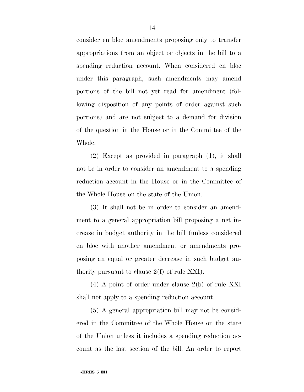consider en bloc amendments proposing only to transfer appropriations from an object or objects in the bill to a spending reduction account. When considered en bloc under this paragraph, such amendments may amend portions of the bill not yet read for amendment (following disposition of any points of order against such portions) and are not subject to a demand for division of the question in the House or in the Committee of the Whole.

(2) Except as provided in paragraph (1), it shall not be in order to consider an amendment to a spending reduction account in the House or in the Committee of the Whole House on the state of the Union.

(3) It shall not be in order to consider an amendment to a general appropriation bill proposing a net increase in budget authority in the bill (unless considered en bloc with another amendment or amendments proposing an equal or greater decrease in such budget authority pursuant to clause 2(f) of rule XXI).

(4) A point of order under clause 2(b) of rule XXI shall not apply to a spending reduction account.

(5) A general appropriation bill may not be considered in the Committee of the Whole House on the state of the Union unless it includes a spending reduction account as the last section of the bill. An order to report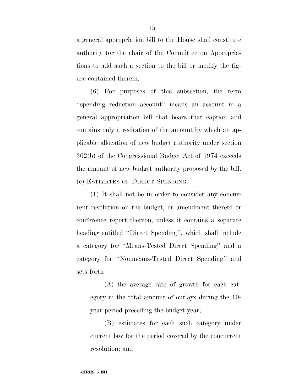a general appropriation bill to the House shall constitute authority for the chair of the Committee on Appropriations to add such a section to the bill or modify the figure contained therein.

(6) For purposes of this subsection, the term ''spending reduction account'' means an account in a general appropriation bill that bears that caption and contains only a recitation of the amount by which an applicable allocation of new budget authority under section 302(b) of the Congressional Budget Act of 1974 exceeds the amount of new budget authority proposed by the bill. (e) ESTIMATES OF DIRECT SPENDING.—

(1) It shall not be in order to consider any concurrent resolution on the budget, or amendment thereto or conference report thereon, unless it contains a separate heading entitled ''Direct Spending'', which shall include a category for ''Means-Tested Direct Spending'' and a category for ''Nonmeans-Tested Direct Spending'' and sets forth—

(A) the average rate of growth for each category in the total amount of outlays during the 10 year period preceding the budget year;

(B) estimates for each such category under current law for the period covered by the concurrent resolution; and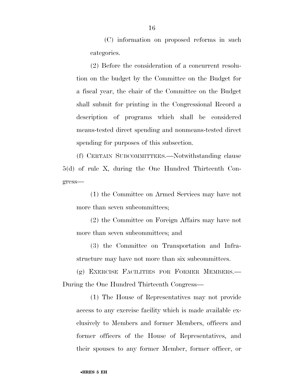(C) information on proposed reforms in such categories.

(2) Before the consideration of a concurrent resolution on the budget by the Committee on the Budget for a fiscal year, the chair of the Committee on the Budget shall submit for printing in the Congressional Record a description of programs which shall be considered means-tested direct spending and nonmeans-tested direct spending for purposes of this subsection.

(f) CERTAIN SUBCOMMITTEES.—Notwithstanding clause 5(d) of rule X, during the One Hundred Thirteenth Congress—

(1) the Committee on Armed Services may have not more than seven subcommittees;

(2) the Committee on Foreign Affairs may have not more than seven subcommittees; and

(3) the Committee on Transportation and Infrastructure may have not more than six subcommittees.

(g) EXERCISE FACILITIES FOR FORMER MEMBERS.— During the One Hundred Thirteenth Congress—

(1) The House of Representatives may not provide access to any exercise facility which is made available exclusively to Members and former Members, officers and former officers of the House of Representatives, and their spouses to any former Member, former officer, or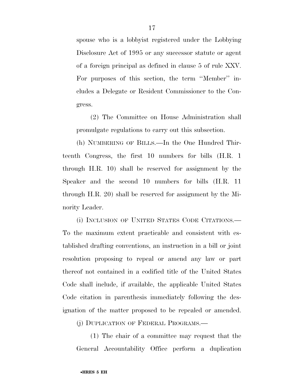spouse who is a lobbyist registered under the Lobbying Disclosure Act of 1995 or any successor statute or agent of a foreign principal as defined in clause 5 of rule XXV. For purposes of this section, the term ''Member'' includes a Delegate or Resident Commissioner to the Congress.

(2) The Committee on House Administration shall promulgate regulations to carry out this subsection.

(h) NUMBERING OF BILLS.—In the One Hundred Thirteenth Congress, the first 10 numbers for bills (H.R. 1 through H.R. 10) shall be reserved for assignment by the Speaker and the second 10 numbers for bills (H.R. 11 through H.R. 20) shall be reserved for assignment by the Minority Leader.

(i) INCLUSION OF UNITED STATES CODE CITATIONS.— To the maximum extent practicable and consistent with established drafting conventions, an instruction in a bill or joint resolution proposing to repeal or amend any law or part thereof not contained in a codified title of the United States Code shall include, if available, the applicable United States Code citation in parenthesis immediately following the designation of the matter proposed to be repealed or amended.

(j) DUPLICATION OF FEDERAL PROGRAMS.—

(1) The chair of a committee may request that the General Accountability Office perform a duplication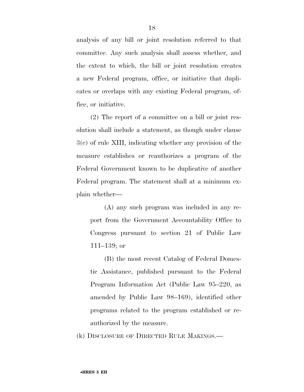analysis of any bill or joint resolution referred to that committee. Any such analysis shall assess whether, and the extent to which, the bill or joint resolution creates a new Federal program, office, or initiative that duplicates or overlaps with any existing Federal program, office, or initiative.

(2) The report of a committee on a bill or joint resolution shall include a statement, as though under clause 3(c) of rule XIII, indicating whether any provision of the measure establishes or reauthorizes a program of the Federal Government known to be duplicative of another Federal program. The statement shall at a minimum explain whether—

(A) any such program was included in any report from the Government Accountability Office to Congress pursuant to section 21 of Public Law 111–139; or

(B) the most recent Catalog of Federal Domestic Assistance, published pursuant to the Federal Program Information Act (Public Law 95–220, as amended by Public Law 98–169), identified other programs related to the program established or reauthorized by the measure.

(k) DISCLOSURE OF DIRECTED RULE MAKINGS.—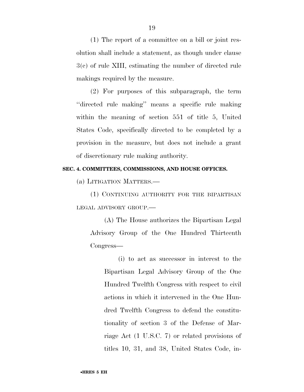(1) The report of a committee on a bill or joint resolution shall include a statement, as though under clause 3(c) of rule XIII, estimating the number of directed rule makings required by the measure.

(2) For purposes of this subparagraph, the term ''directed rule making'' means a specific rule making within the meaning of section 551 of title 5, United States Code, specifically directed to be completed by a provision in the measure, but does not include a grant of discretionary rule making authority.

## **SEC. 4. COMMITTEES, COMMISSIONS, AND HOUSE OFFICES.**

(a) LITIGATION MATTERS.—

(1) CONTINUING AUTHORITY FOR THE BIPARTISAN LEGAL ADVISORY GROUP.—

(A) The House authorizes the Bipartisan Legal Advisory Group of the One Hundred Thirteenth Congress—

(i) to act as successor in interest to the Bipartisan Legal Advisory Group of the One Hundred Twelfth Congress with respect to civil actions in which it intervened in the One Hundred Twelfth Congress to defend the constitutionality of section 3 of the Defense of Marriage Act (1 U.S.C. 7) or related provisions of titles 10, 31, and 38, United States Code, in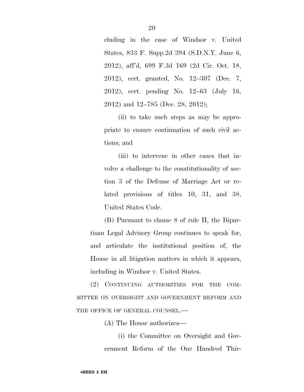cluding in the case of Windsor v. United States, 833 F. Supp.2d 394 (S.D.N.Y. June 6, 2012), aff'd, 699 F.3d 169 (2d Cir. Oct. 18, 2012), cert. granted, No. 12–307 (Dec. 7, 2012), cert. pending No. 12–63 (July 16, 2012) and 12–785 (Dec. 28, 2012);

(ii) to take such steps as may be appropriate to ensure continuation of such civil actions; and

(iii) to intervene in other cases that involve a challenge to the constitutionality of section 3 of the Defense of Marriage Act or related provisions of titles 10, 31, and 38, United States Code.

(B) Pursuant to clause 8 of rule II, the Bipartisan Legal Advisory Group continues to speak for, and articulate the institutional position of, the House in all litigation matters in which it appears, including in Windsor v. United States.

(2) CONTINUING AUTHORITIES FOR THE COM-MITTEE ON OVERSIGHT AND GOVERNMENT REFORM AND THE OFFICE OF GENERAL COUNSEL.-

(A) The House authorizes—

(i) the Committee on Oversight and Government Reform of the One Hundred Thir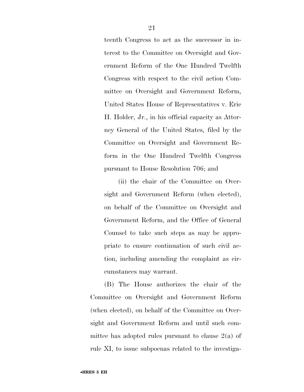teenth Congress to act as the successor in interest to the Committee on Oversight and Government Reform of the One Hundred Twelfth Congress with respect to the civil action Committee on Oversight and Government Reform, United States House of Representatives v. Eric H. Holder, Jr., in his official capacity as Attorney General of the United States, filed by the Committee on Oversight and Government Reform in the One Hundred Twelfth Congress pursuant to House Resolution 706; and

(ii) the chair of the Committee on Oversight and Government Reform (when elected), on behalf of the Committee on Oversight and Government Reform, and the Office of General Counsel to take such steps as may be appropriate to ensure continuation of such civil action, including amending the complaint as circumstances may warrant.

(B) The House authorizes the chair of the Committee on Oversight and Government Reform (when elected), on behalf of the Committee on Oversight and Government Reform and until such committee has adopted rules pursuant to clause  $2(a)$  of rule XI, to issue subpoenas related to the investiga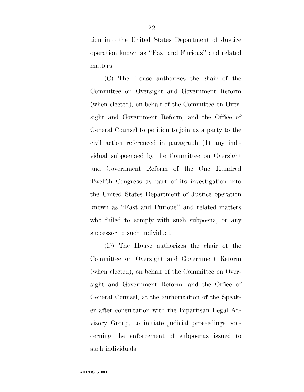tion into the United States Department of Justice operation known as ''Fast and Furious'' and related matters.

(C) The House authorizes the chair of the Committee on Oversight and Government Reform (when elected), on behalf of the Committee on Oversight and Government Reform, and the Office of General Counsel to petition to join as a party to the civil action referenced in paragraph (1) any individual subpoenaed by the Committee on Oversight and Government Reform of the One Hundred Twelfth Congress as part of its investigation into the United States Department of Justice operation known as ''Fast and Furious'' and related matters who failed to comply with such subpoena, or any successor to such individual.

(D) The House authorizes the chair of the Committee on Oversight and Government Reform (when elected), on behalf of the Committee on Oversight and Government Reform, and the Office of General Counsel, at the authorization of the Speaker after consultation with the Bipartisan Legal Advisory Group, to initiate judicial proceedings concerning the enforcement of subpoenas issued to such individuals.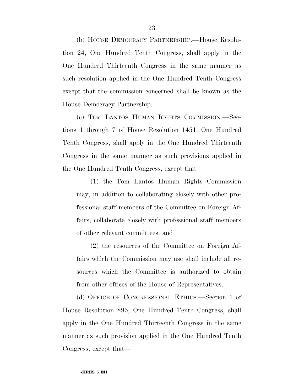(b) HOUSE DEMOCRACY PARTNERSHIP.—House Resolution 24, One Hundred Tenth Congress, shall apply in the One Hundred Thirteenth Congress in the same manner as such resolution applied in the One Hundred Tenth Congress except that the commission concerned shall be known as the House Democracy Partnership.

(c) TOM LANTOS HUMAN RIGHTS COMMISSION.—Sections 1 through 7 of House Resolution 1451, One Hundred Tenth Congress, shall apply in the One Hundred Thirteenth Congress in the same manner as such provisions applied in the One Hundred Tenth Congress, except that—

(1) the Tom Lantos Human Rights Commission may, in addition to collaborating closely with other professional staff members of the Committee on Foreign Affairs, collaborate closely with professional staff members of other relevant committees; and

(2) the resources of the Committee on Foreign Affairs which the Commission may use shall include all resources which the Committee is authorized to obtain from other offices of the House of Representatives.

(d) OFFICE OF CONGRESSIONAL ETHICS.—Section 1 of House Resolution 895, One Hundred Tenth Congress, shall apply in the One Hundred Thirteenth Congress in the same manner as such provision applied in the One Hundred Tenth Congress, except that—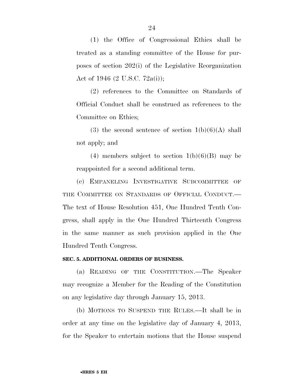(1) the Office of Congressional Ethics shall be treated as a standing committee of the House for purposes of section 202(i) of the Legislative Reorganization Act of 1946 (2 U.S.C. 72a(i));

(2) references to the Committee on Standards of Official Conduct shall be construed as references to the Committee on Ethics;

(3) the second sentence of section  $1(b)(6)(A)$  shall not apply; and

(4) members subject to section  $1(b)(6)(B)$  may be reappointed for a second additional term.

(e) EMPANELING INVESTIGATIVE SUBCOMMITTEE OF THE COMMITTEE ON STANDARDS OF OFFICIAL CONDUCT. The text of House Resolution 451, One Hundred Tenth Congress, shall apply in the One Hundred Thirteenth Congress in the same manner as such provision applied in the One Hundred Tenth Congress.

## **SEC. 5. ADDITIONAL ORDERS OF BUSINESS.**

(a) READING OF THE CONSTITUTION.—The Speaker may recognize a Member for the Reading of the Constitution on any legislative day through January 15, 2013.

(b) MOTIONS TO SUSPEND THE RULES.—It shall be in order at any time on the legislative day of January 4, 2013, for the Speaker to entertain motions that the House suspend